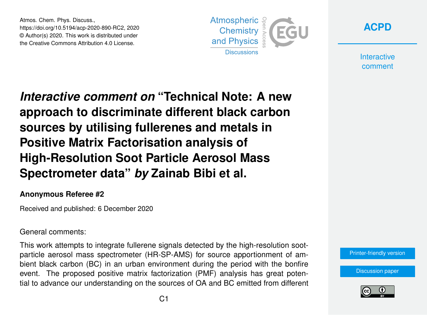Atmos. Chem. Phys. Discuss., https://doi.org/10.5194/acp-2020-890-RC2, 2020 © Author(s) 2020. This work is distributed under the Creative Commons Attribution 4.0 License.





**Interactive** comment

*Interactive comment on* **"Technical Note: A new approach to discriminate different black carbon sources by utilising fullerenes and metals in Positive Matrix Factorisation analysis of High-Resolution Soot Particle Aerosol Mass Spectrometer data"** *by* **Zainab Bibi et al.**

## **Anonymous Referee #2**

Received and published: 6 December 2020

## General comments:

This work attempts to integrate fullerene signals detected by the high-resolution sootparticle aerosol mass spectrometer (HR-SP-AMS) for source apportionment of ambient black carbon (BC) in an urban environment during the period with the bonfire event. The proposed positive matrix factorization (PMF) analysis has great potential to advance our understanding on the sources of OA and BC emitted from different



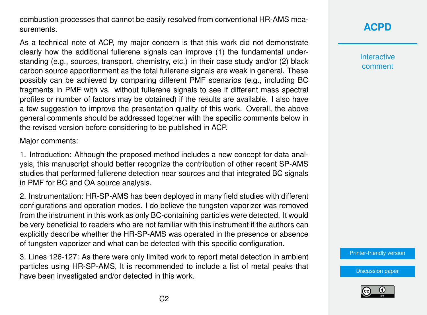combustion processes that cannot be easily resolved from conventional HR-AMS measurements.

As a technical note of ACP, my major concern is that this work did not demonstrate clearly how the additional fullerene signals can improve (1) the fundamental understanding (e.g., sources, transport, chemistry, etc.) in their case study and/or (2) black carbon source apportionment as the total fullerene signals are weak in general. These possibly can be achieved by comparing different PMF scenarios (e.g., including BC fragments in PMF with vs. without fullerene signals to see if different mass spectral profiles or number of factors may be obtained) if the results are available. I also have a few suggestion to improve the presentation quality of this work. Overall, the above general comments should be addressed together with the specific comments below in the revised version before considering to be published in ACP.

Major comments:

1. Introduction: Although the proposed method includes a new concept for data analysis, this manuscript should better recognize the contribution of other recent SP-AMS studies that performed fullerene detection near sources and that integrated BC signals in PMF for BC and OA source analysis.

2. Instrumentation: HR-SP-AMS has been deployed in many field studies with different configurations and operation modes. I do believe the tungsten vaporizer was removed from the instrument in this work as only BC-containing particles were detected. It would be very beneficial to readers who are not familiar with this instrument if the authors can explicitly describe whether the HR-SP-AMS was operated in the presence or absence of tungsten vaporizer and what can be detected with this specific configuration.

3. Lines 126-127: As there were only limited work to report metal detection in ambient particles using HR-SP-AMS, It is recommended to include a list of metal peaks that have been investigated and/or detected in this work.

**[ACPD](https://acp.copernicus.org/preprints/)**

**Interactive** comment

[Printer-friendly version](https://acp.copernicus.org/preprints/acp-2020-890/acp-2020-890-RC2-print.pdf)

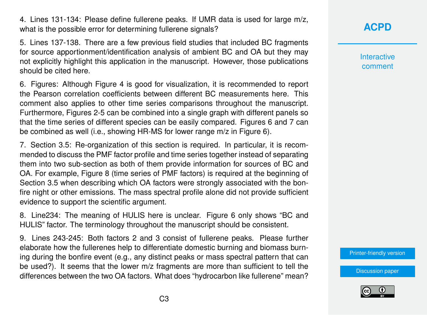4. Lines 131-134: Please define fullerene peaks. If UMR data is used for large m/z, what is the possible error for determining fullerene signals?

5. Lines 137-138. There are a few previous field studies that included BC fragments for source apportionment/identification analysis of ambient BC and OA but they may not explicitly highlight this application in the manuscript. However, those publications should be cited here.

6. Figures: Although Figure 4 is good for visualization, it is recommended to report the Pearson correlation coefficients between different BC measurements here. This comment also applies to other time series comparisons throughout the manuscript. Furthermore, Figures 2-5 can be combined into a single graph with different panels so that the time series of different species can be easily compared. Figures 6 and 7 can be combined as well (i.e., showing HR-MS for lower range m/z in Figure 6).

7. Section 3.5: Re-organization of this section is required. In particular, it is recommended to discuss the PMF factor profile and time series together instead of separating them into two sub-section as both of them provide information for sources of BC and OA. For example, Figure 8 (time series of PMF factors) is required at the beginning of Section 3.5 when describing which OA factors were strongly associated with the bonfire night or other emissions. The mass spectral profile alone did not provide sufficient evidence to support the scientific argument.

8. Line234: The meaning of HULIS here is unclear. Figure 6 only shows "BC and HULIS" factor. The terminology throughout the manuscript should be consistent.

9. Lines 243-245: Both factors 2 and 3 consist of fullerene peaks. Please further elaborate how the fullerenes help to differentiate domestic burning and biomass burning during the bonfire event (e.g., any distinct peaks or mass spectral pattern that can be used?). It seems that the lower m/z fragments are more than sufficient to tell the differences between the two OA factors. What does "hydrocarbon like fullerene" mean?

## **[ACPD](https://acp.copernicus.org/preprints/)**

**Interactive** comment

[Printer-friendly version](https://acp.copernicus.org/preprints/acp-2020-890/acp-2020-890-RC2-print.pdf)